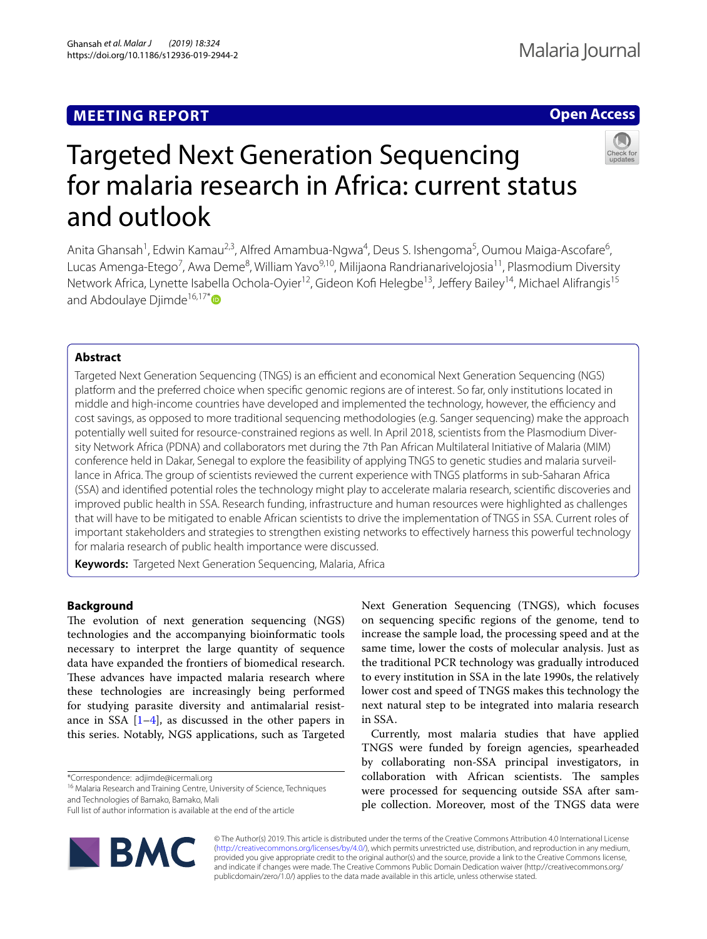# **MEETING REPORT**

## **Open Access**



# Targeted Next Generation Sequencing for malaria research in Africa: current status and outlook

Anita Ghansah<sup>1</sup>, Edwin Kamau<sup>2,3</sup>, Alfred Amambua-Ngwa<sup>4</sup>, Deus S. Ishengoma<sup>5</sup>, Oumou Maiga-Ascofare<sup>6</sup>, Lucas Amenga-Etego<sup>7</sup>, Awa Deme<sup>8</sup>, William Yavo<sup>9,10</sup>, Milijaona Randrianarivelojosia<sup>11</sup>, Plasmodium Diversity Network Africa, Lynette Isabella Ochola-Oyier<sup>12</sup>, Gideon Kofi Helegbe<sup>13</sup>, Jeffery Bailey<sup>14</sup>, Michael Alifrangis<sup>15</sup> and Abdoulaye Diimde<sup>16,17[\\*](http://orcid.org/0000-0003-0062-2283)</sup> $\bullet$ 

## **Abstract**

Targeted Next Generation Sequencing (TNGS) is an efficient and economical Next Generation Sequencing (NGS) platform and the preferred choice when specifc genomic regions are of interest. So far, only institutions located in middle and high-income countries have developed and implemented the technology, however, the efficiency and cost savings, as opposed to more traditional sequencing methodologies (e.g. Sanger sequencing) make the approach potentially well suited for resource-constrained regions as well. In April 2018, scientists from the Plasmodium Diversity Network Africa (PDNA) and collaborators met during the 7th Pan African Multilateral Initiative of Malaria (MIM) conference held in Dakar, Senegal to explore the feasibility of applying TNGS to genetic studies and malaria surveillance in Africa. The group of scientists reviewed the current experience with TNGS platforms in sub-Saharan Africa (SSA) and identifed potential roles the technology might play to accelerate malaria research, scientifc discoveries and improved public health in SSA. Research funding, infrastructure and human resources were highlighted as challenges that will have to be mitigated to enable African scientists to drive the implementation of TNGS in SSA. Current roles of important stakeholders and strategies to strengthen existing networks to efectively harness this powerful technology for malaria research of public health importance were discussed.

**Keywords:** Targeted Next Generation Sequencing, Malaria, Africa

## **Background**

The evolution of next generation sequencing (NGS) technologies and the accompanying bioinformatic tools necessary to interpret the large quantity of sequence data have expanded the frontiers of biomedical research. These advances have impacted malaria research where these technologies are increasingly being performed for studying parasite diversity and antimalarial resistance in SSA  $[1-4]$  $[1-4]$  $[1-4]$ , as discussed in the other papers in this series. Notably, NGS applications, such as Targeted

\*Correspondence: adjimde@icermali.org

<sup>16</sup> Malaria Research and Training Centre, University of Science, Techniques and Technologies of Bamako, Bamako, Mali

Full list of author information is available at the end of the article



Next Generation Sequencing (TNGS), which focuses on sequencing specifc regions of the genome, tend to increase the sample load, the processing speed and at the same time, lower the costs of molecular analysis. Just as the traditional PCR technology was gradually introduced to every institution in SSA in the late 1990s, the relatively lower cost and speed of TNGS makes this technology the next natural step to be integrated into malaria research in SSA.

Currently, most malaria studies that have applied TNGS were funded by foreign agencies, spearheaded by collaborating non-SSA principal investigators, in collaboration with African scientists. The samples were processed for sequencing outside SSA after sample collection. Moreover, most of the TNGS data were

© The Author(s) 2019. This article is distributed under the terms of the Creative Commons Attribution 4.0 International License [\(http://creativecommons.org/licenses/by/4.0/\)](http://creativecommons.org/licenses/by/4.0/), which permits unrestricted use, distribution, and reproduction in any medium, provided you give appropriate credit to the original author(s) and the source, provide a link to the Creative Commons license, and indicate if changes were made. The Creative Commons Public Domain Dedication waiver (http://creativecommons.org/ publicdomain/zero/1.0/) applies to the data made available in this article, unless otherwise stated.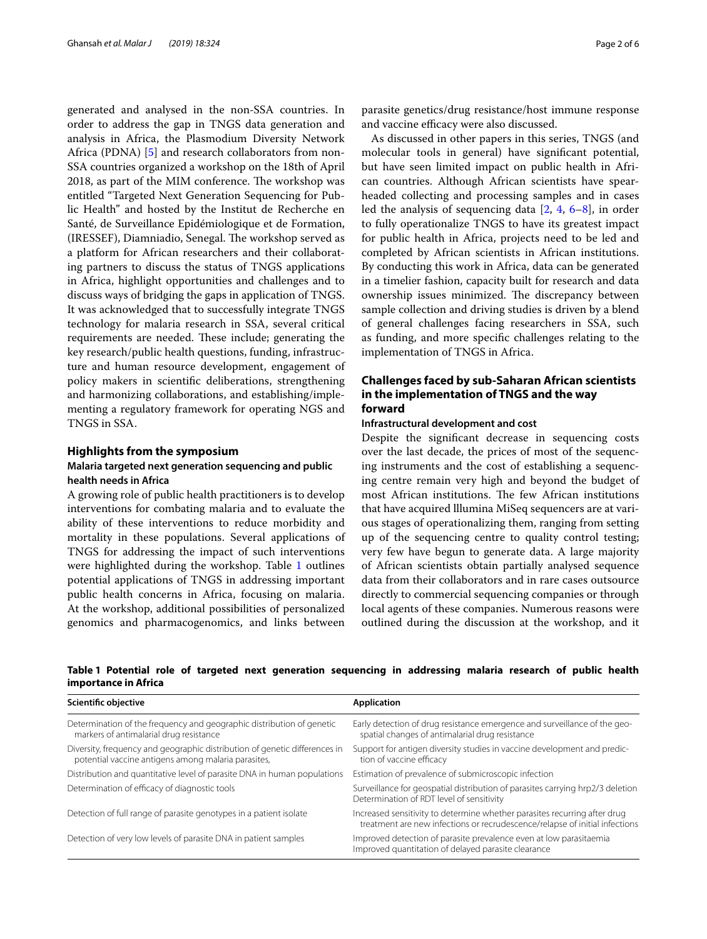generated and analysed in the non-SSA countries. In order to address the gap in TNGS data generation and analysis in Africa, the Plasmodium Diversity Network Africa (PDNA) [[5\]](#page-5-2) and research collaborators from non-SSA countries organized a workshop on the 18th of April 2018, as part of the MIM conference. The workshop was entitled "Targeted Next Generation Sequencing for Public Health" and hosted by the Institut de Recherche en Santé, de Surveillance Epidémiologique et de Formation, (IRESSEF), Diamniadio, Senegal. The workshop served as a platform for African researchers and their collaborating partners to discuss the status of TNGS applications in Africa, highlight opportunities and challenges and to discuss ways of bridging the gaps in application of TNGS. It was acknowledged that to successfully integrate TNGS technology for malaria research in SSA, several critical requirements are needed. These include; generating the key research/public health questions, funding, infrastructure and human resource development, engagement of policy makers in scientifc deliberations, strengthening and harmonizing collaborations, and establishing/implementing a regulatory framework for operating NGS and TNGS in SSA.

# **Highlights from the symposium**

## **Malaria targeted next generation sequencing and public health needs in Africa**

A growing role of public health practitioners is to develop interventions for combating malaria and to evaluate the ability of these interventions to reduce morbidity and mortality in these populations. Several applications of TNGS for addressing the impact of such interventions were highlighted during the workshop. Table [1](#page-1-0) outlines potential applications of TNGS in addressing important public health concerns in Africa, focusing on malaria. At the workshop, additional possibilities of personalized genomics and pharmacogenomics, and links between

parasite genetics/drug resistance/host immune response and vaccine efficacy were also discussed.

As discussed in other papers in this series, TNGS (and molecular tools in general) have signifcant potential, but have seen limited impact on public health in African countries. Although African scientists have spearheaded collecting and processing samples and in cases led the analysis of sequencing data [\[2](#page-5-3), [4,](#page-5-1) [6–](#page-5-4)[8\]](#page-5-5), in order to fully operationalize TNGS to have its greatest impact for public health in Africa, projects need to be led and completed by African scientists in African institutions. By conducting this work in Africa, data can be generated in a timelier fashion, capacity built for research and data ownership issues minimized. The discrepancy between sample collection and driving studies is driven by a blend of general challenges facing researchers in SSA, such as funding, and more specifc challenges relating to the implementation of TNGS in Africa.

## **Challenges faced by sub‑Saharan African scientists in the implementation of TNGS and the way forward**

#### **Infrastructural development and cost**

Despite the signifcant decrease in sequencing costs over the last decade, the prices of most of the sequencing instruments and the cost of establishing a sequencing centre remain very high and beyond the budget of most African institutions. The few African institutions that have acquired lllumina MiSeq sequencers are at various stages of operationalizing them, ranging from setting up of the sequencing centre to quality control testing; very few have begun to generate data. A large majority of African scientists obtain partially analysed sequence data from their collaborators and in rare cases outsource directly to commercial sequencing companies or through local agents of these companies. Numerous reasons were outlined during the discussion at the workshop, and it

<span id="page-1-0"></span>

|                      |  |  | Table 1 Potential role of targeted next generation sequencing in addressing malaria research of public health |  |  |  |  |
|----------------------|--|--|---------------------------------------------------------------------------------------------------------------|--|--|--|--|
| importance in Africa |  |  |                                                                                                               |  |  |  |  |

| Scientific objective                                                                                                              | Application                                                                                                                                              |
|-----------------------------------------------------------------------------------------------------------------------------------|----------------------------------------------------------------------------------------------------------------------------------------------------------|
| Determination of the frequency and geographic distribution of genetic<br>markers of antimalarial drug resistance                  | Early detection of drug resistance emergence and surveillance of the geo-<br>spatial changes of antimalarial drug resistance                             |
| Diversity, frequency and geographic distribution of genetic differences in<br>potential vaccine antigens among malaria parasites, | Support for antigen diversity studies in vaccine development and predic-<br>tion of vaccine efficacy                                                     |
| Distribution and quantitative level of parasite DNA in human populations                                                          | Estimation of prevalence of submicroscopic infection                                                                                                     |
| Determination of efficacy of diagnostic tools                                                                                     | Surveillance for geospatial distribution of parasites carrying hrp2/3 deletion<br>Determination of RDT level of sensitivity                              |
| Detection of full range of parasite genotypes in a patient isolate                                                                | Increased sensitivity to determine whether parasites recurring after drug<br>treatment are new infections or recrudescence/relapse of initial infections |
| Detection of very low levels of parasite DNA in patient samples                                                                   | Improved detection of parasite prevalence even at low parasitaemia<br>Improved quantitation of delayed parasite clearance                                |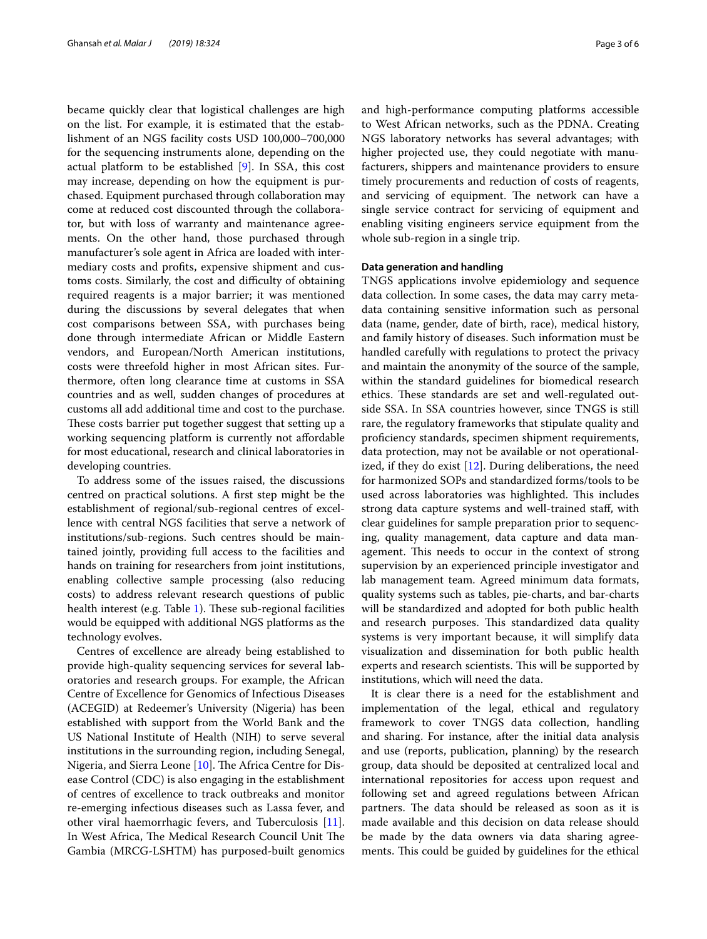became quickly clear that logistical challenges are high on the list. For example, it is estimated that the establishment of an NGS facility costs USD 100,000–700,000 for the sequencing instruments alone, depending on the actual platform to be established [[9\]](#page-5-6). In SSA, this cost may increase, depending on how the equipment is purchased. Equipment purchased through collaboration may come at reduced cost discounted through the collaborator, but with loss of warranty and maintenance agreements. On the other hand, those purchased through manufacturer's sole agent in Africa are loaded with intermediary costs and profts, expensive shipment and customs costs. Similarly, the cost and difficulty of obtaining required reagents is a major barrier; it was mentioned during the discussions by several delegates that when cost comparisons between SSA, with purchases being done through intermediate African or Middle Eastern vendors, and European/North American institutions, costs were threefold higher in most African sites. Furthermore, often long clearance time at customs in SSA countries and as well, sudden changes of procedures at customs all add additional time and cost to the purchase. These costs barrier put together suggest that setting up a working sequencing platform is currently not afordable for most educational, research and clinical laboratories in developing countries.

To address some of the issues raised, the discussions centred on practical solutions. A frst step might be the establishment of regional/sub-regional centres of excellence with central NGS facilities that serve a network of institutions/sub-regions. Such centres should be maintained jointly, providing full access to the facilities and hands on training for researchers from joint institutions, enabling collective sample processing (also reducing costs) to address relevant research questions of public health interest (e.g. Table [1](#page-1-0)). These sub-regional facilities would be equipped with additional NGS platforms as the technology evolves.

Centres of excellence are already being established to provide high-quality sequencing services for several laboratories and research groups. For example, the African Centre of Excellence for Genomics of Infectious Diseases (ACEGID) at Redeemer's University (Nigeria) has been established with support from the World Bank and the US National Institute of Health (NIH) to serve several institutions in the surrounding region, including Senegal, Nigeria, and Sierra Leone  $[10]$ . The Africa Centre for Disease Control (CDC) is also engaging in the establishment of centres of excellence to track outbreaks and monitor re-emerging infectious diseases such as Lassa fever, and other viral haemorrhagic fevers, and Tuberculosis [\[11](#page-5-8)]. In West Africa, The Medical Research Council Unit The Gambia (MRCG-LSHTM) has purposed-built genomics and high-performance computing platforms accessible to West African networks, such as the PDNA. Creating NGS laboratory networks has several advantages; with higher projected use, they could negotiate with manufacturers, shippers and maintenance providers to ensure timely procurements and reduction of costs of reagents, and servicing of equipment. The network can have a single service contract for servicing of equipment and enabling visiting engineers service equipment from the whole sub-region in a single trip.

#### **Data generation and handling**

TNGS applications involve epidemiology and sequence data collection. In some cases, the data may carry metadata containing sensitive information such as personal data (name, gender, date of birth, race), medical history, and family history of diseases. Such information must be handled carefully with regulations to protect the privacy and maintain the anonymity of the source of the sample, within the standard guidelines for biomedical research ethics. These standards are set and well-regulated outside SSA. In SSA countries however, since TNGS is still rare, the regulatory frameworks that stipulate quality and profciency standards, specimen shipment requirements, data protection, may not be available or not operationalized, if they do exist [\[12\]](#page-5-9). During deliberations, the need for harmonized SOPs and standardized forms/tools to be used across laboratories was highlighted. This includes strong data capture systems and well-trained staf, with clear guidelines for sample preparation prior to sequencing, quality management, data capture and data management. This needs to occur in the context of strong supervision by an experienced principle investigator and lab management team. Agreed minimum data formats, quality systems such as tables, pie-charts, and bar-charts will be standardized and adopted for both public health and research purposes. This standardized data quality systems is very important because, it will simplify data visualization and dissemination for both public health experts and research scientists. This will be supported by institutions, which will need the data.

It is clear there is a need for the establishment and implementation of the legal, ethical and regulatory framework to cover TNGS data collection, handling and sharing. For instance, after the initial data analysis and use (reports, publication, planning) by the research group, data should be deposited at centralized local and international repositories for access upon request and following set and agreed regulations between African partners. The data should be released as soon as it is made available and this decision on data release should be made by the data owners via data sharing agreements. This could be guided by guidelines for the ethical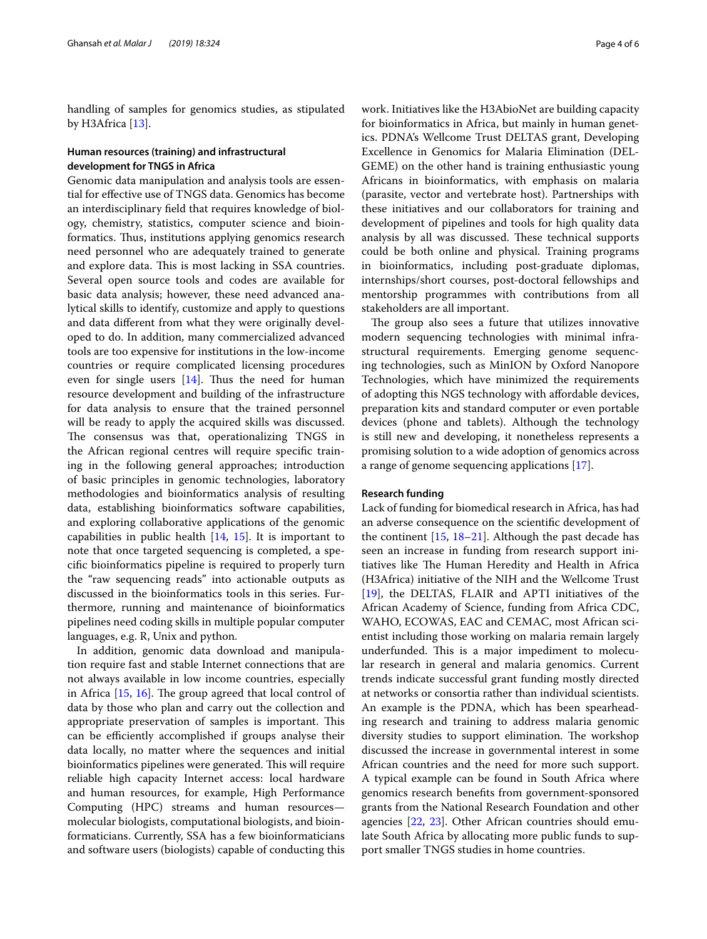handling of samples for genomics studies, as stipulated by H3Africa [\[13\]](#page-5-10).

### **Human resources (training) and infrastructural development for TNGS in Africa**

Genomic data manipulation and analysis tools are essential for efective use of TNGS data. Genomics has become an interdisciplinary feld that requires knowledge of biology, chemistry, statistics, computer science and bioinformatics. Thus, institutions applying genomics research need personnel who are adequately trained to generate and explore data. This is most lacking in SSA countries. Several open source tools and codes are available for basic data analysis; however, these need advanced analytical skills to identify, customize and apply to questions and data diferent from what they were originally developed to do. In addition, many commercialized advanced tools are too expensive for institutions in the low-income countries or require complicated licensing procedures even for single users  $[14]$ . Thus the need for human resource development and building of the infrastructure for data analysis to ensure that the trained personnel will be ready to apply the acquired skills was discussed. The consensus was that, operationalizing TNGS in the African regional centres will require specifc training in the following general approaches; introduction of basic principles in genomic technologies, laboratory methodologies and bioinformatics analysis of resulting data, establishing bioinformatics software capabilities, and exploring collaborative applications of the genomic capabilities in public health [[14](#page-5-11), [15](#page-5-12)]. It is important to note that once targeted sequencing is completed, a specifc bioinformatics pipeline is required to properly turn the "raw sequencing reads" into actionable outputs as discussed in the bioinformatics tools in this series. Furthermore, running and maintenance of bioinformatics pipelines need coding skills in multiple popular computer languages, e.g. R, Unix and python.

In addition, genomic data download and manipulation require fast and stable Internet connections that are not always available in low income countries, especially in Africa  $[15, 16]$  $[15, 16]$  $[15, 16]$  $[15, 16]$ . The group agreed that local control of data by those who plan and carry out the collection and appropriate preservation of samples is important. This can be efficiently accomplished if groups analyse their data locally, no matter where the sequences and initial bioinformatics pipelines were generated. This will require reliable high capacity Internet access: local hardware and human resources, for example, High Performance Computing (HPC) streams and human resources molecular biologists, computational biologists, and bioinformaticians. Currently, SSA has a few bioinformaticians and software users (biologists) capable of conducting this work. Initiatives like the H3AbioNet are building capacity for bioinformatics in Africa, but mainly in human genetics. PDNA's Wellcome Trust DELTAS grant, Developing Excellence in Genomics for Malaria Elimination (DEL-GEME) on the other hand is training enthusiastic young Africans in bioinformatics, with emphasis on malaria (parasite, vector and vertebrate host). Partnerships with these initiatives and our collaborators for training and development of pipelines and tools for high quality data analysis by all was discussed. These technical supports could be both online and physical. Training programs in bioinformatics, including post-graduate diplomas, internships/short courses, post-doctoral fellowships and mentorship programmes with contributions from all stakeholders are all important.

The group also sees a future that utilizes innovative modern sequencing technologies with minimal infrastructural requirements. Emerging genome sequencing technologies, such as MinION by Oxford Nanopore Technologies, which have minimized the requirements of adopting this NGS technology with afordable devices, preparation kits and standard computer or even portable devices (phone and tablets). Although the technology is still new and developing, it nonetheless represents a promising solution to a wide adoption of genomics across a range of genome sequencing applications [[17\]](#page-5-14).

#### **Research funding**

Lack of funding for biomedical research in Africa, has had an adverse consequence on the scientifc development of the continent  $[15, 18-21]$  $[15, 18-21]$  $[15, 18-21]$  $[15, 18-21]$ . Although the past decade has seen an increase in funding from research support initiatives like The Human Heredity and Health in Africa (H3Africa) initiative of the NIH and the Wellcome Trust [[19\]](#page-5-17), the DELTAS, FLAIR and APTI initiatives of the African Academy of Science, funding from Africa CDC, WAHO, ECOWAS, EAC and CEMAC, most African scientist including those working on malaria remain largely underfunded. This is a major impediment to molecular research in general and malaria genomics. Current trends indicate successful grant funding mostly directed at networks or consortia rather than individual scientists. An example is the PDNA, which has been spearheading research and training to address malaria genomic diversity studies to support elimination. The workshop discussed the increase in governmental interest in some African countries and the need for more such support. A typical example can be found in South Africa where genomics research benefts from government-sponsored grants from the National Research Foundation and other agencies [\[22,](#page-5-18) [23\]](#page-5-19). Other African countries should emulate South Africa by allocating more public funds to support smaller TNGS studies in home countries.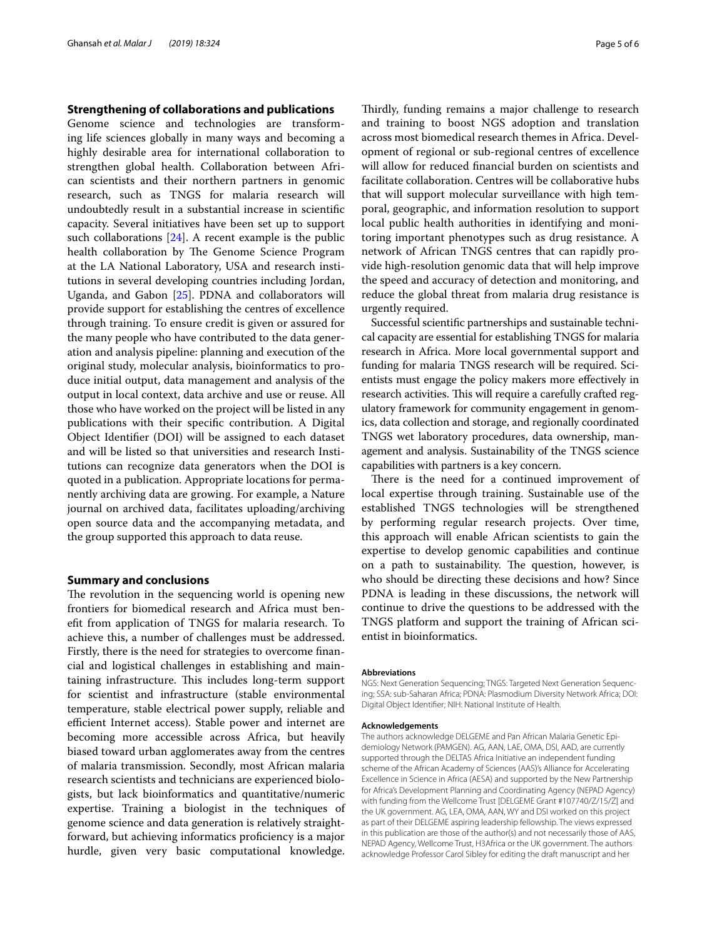#### **Strengthening of collaborations and publications**

Genome science and technologies are transforming life sciences globally in many ways and becoming a highly desirable area for international collaboration to strengthen global health. Collaboration between African scientists and their northern partners in genomic research, such as TNGS for malaria research will undoubtedly result in a substantial increase in scientifc capacity. Several initiatives have been set up to support such collaborations [\[24](#page-5-20)]. A recent example is the public health collaboration by The Genome Science Program at the LA National Laboratory, USA and research institutions in several developing countries including Jordan, Uganda, and Gabon [[25](#page-5-21)]. PDNA and collaborators will provide support for establishing the centres of excellence through training. To ensure credit is given or assured for the many people who have contributed to the data generation and analysis pipeline: planning and execution of the original study, molecular analysis, bioinformatics to produce initial output, data management and analysis of the output in local context, data archive and use or reuse. All those who have worked on the project will be listed in any publications with their specifc contribution. A Digital Object Identifer (DOI) will be assigned to each dataset and will be listed so that universities and research Institutions can recognize data generators when the DOI is quoted in a publication. Appropriate locations for permanently archiving data are growing. For example, a Nature journal on archived data, facilitates uploading/archiving open source data and the accompanying metadata, and the group supported this approach to data reuse.

#### **Summary and conclusions**

The revolution in the sequencing world is opening new frontiers for biomedical research and Africa must beneft from application of TNGS for malaria research. To achieve this, a number of challenges must be addressed. Firstly, there is the need for strategies to overcome fnancial and logistical challenges in establishing and maintaining infrastructure. This includes long-term support for scientist and infrastructure (stable environmental temperature, stable electrical power supply, reliable and efficient Internet access). Stable power and internet are becoming more accessible across Africa, but heavily biased toward urban agglomerates away from the centres of malaria transmission. Secondly, most African malaria research scientists and technicians are experienced biologists, but lack bioinformatics and quantitative/numeric expertise. Training a biologist in the techniques of genome science and data generation is relatively straightforward, but achieving informatics profciency is a major hurdle, given very basic computational knowledge.

Thirdly, funding remains a major challenge to research and training to boost NGS adoption and translation across most biomedical research themes in Africa. Development of regional or sub-regional centres of excellence will allow for reduced fnancial burden on scientists and facilitate collaboration. Centres will be collaborative hubs that will support molecular surveillance with high temporal, geographic, and information resolution to support local public health authorities in identifying and monitoring important phenotypes such as drug resistance. A network of African TNGS centres that can rapidly provide high-resolution genomic data that will help improve the speed and accuracy of detection and monitoring, and reduce the global threat from malaria drug resistance is urgently required.

Successful scientifc partnerships and sustainable technical capacity are essential for establishing TNGS for malaria research in Africa. More local governmental support and funding for malaria TNGS research will be required. Scientists must engage the policy makers more efectively in research activities. This will require a carefully crafted regulatory framework for community engagement in genomics, data collection and storage, and regionally coordinated TNGS wet laboratory procedures, data ownership, management and analysis. Sustainability of the TNGS science capabilities with partners is a key concern.

There is the need for a continued improvement of local expertise through training. Sustainable use of the established TNGS technologies will be strengthened by performing regular research projects. Over time, this approach will enable African scientists to gain the expertise to develop genomic capabilities and continue on a path to sustainability. The question, however, is who should be directing these decisions and how? Since PDNA is leading in these discussions, the network will continue to drive the questions to be addressed with the TNGS platform and support the training of African scientist in bioinformatics.

#### **Abbreviations**

NGS: Next Generation Sequencing; TNGS: Targeted Next Generation Sequenc‑ ing; SSA: sub-Saharan Africa; PDNA: Plasmodium Diversity Network Africa; DOI: Digital Object Identifer; NIH: National Institute of Health.

#### **Acknowledgements**

The authors acknowledge DELGEME and Pan African Malaria Genetic Epidemiology Network (PAMGEN). AG, AAN, LAE, OMA, DSI, AAD, are currently supported through the DELTAS Africa Initiative an independent funding scheme of the African Academy of Sciences (AAS)'s Alliance for Accelerating Excellence in Science in Africa (AESA) and supported by the New Partnership for Africa's Development Planning and Coordinating Agency (NEPAD Agency) with funding from the Wellcome Trust [DELGEME Grant #107740/Z/15/Z] and the UK government. AG, LEA, OMA, AAN, WY and DSI worked on this project as part of their DELGEME aspiring leadership fellowship. The views expressed in this publication are those of the author(s) and not necessarily those of AAS, NEPAD Agency, Wellcome Trust, H3Africa or the UK government. The authors acknowledge Professor Carol Sibley for editing the draft manuscript and her